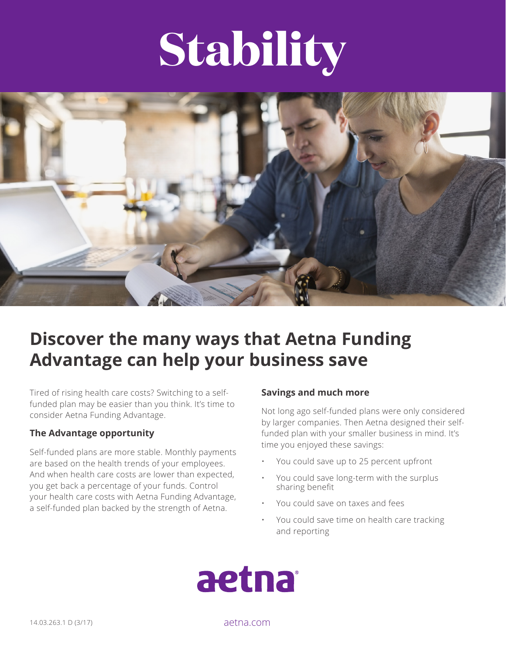# **Stability**



# **Discover the many ways that Aetna Funding Advantage can help your business save**

Tired of rising health care costs? Switching to a selffunded plan may be easier than you think. It's time to consider Aetna Funding Advantage.

### **The Advantage opportunity**

Self-funded plans are more stable. Monthly payments are based on the health trends of your employees. And when health care costs are lower than expected, you get back a percentage of your funds. Control your health care costs with Aetna Funding Advantage, a self-funded plan backed by the strength of Aetna.

#### **Savings and much more**

Not long ago self-funded plans were only considered by larger companies. Then Aetna designed their selffunded plan with your smaller business in mind. It's time you enjoyed these savings:

- You could save up to 25 percent upfront
- You could save long-term with the surplus sharing benefit
- You could save on taxes and fees
- You could save time on health care tracking and reporting